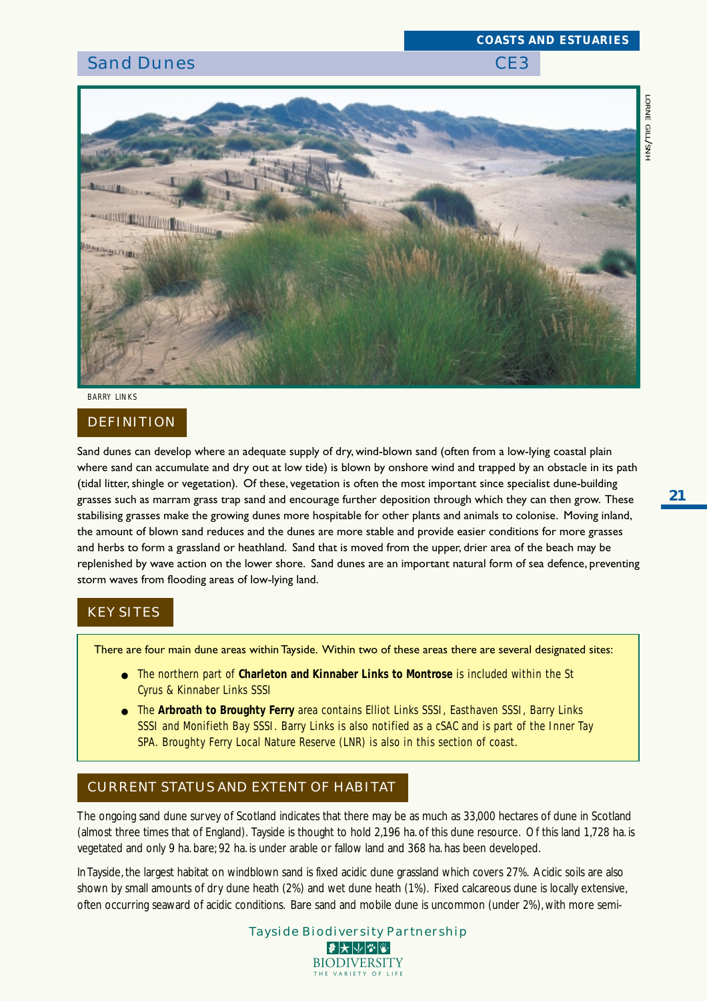# *COASTS AND ESTUARIES*

## Sand Dunes CE3



*BARRY LINKS*

#### DEFINITION

Sand dunes can develop where an adequate supply of dry, wind-blown sand (often from a low-lying coastal plain where sand can accumulate and dry out at low tide) is blown by onshore wind and trapped by an obstacle in its path (tidal litter, shingle or vegetation). Of these, vegetation is often the most important since specialist dune-building grasses such as marram grass trap sand and encourage further deposition through which they can then grow. These stabilising grasses make the growing dunes more hospitable for other plants and animals to colonise. Moving inland, the amount of blown sand reduces and the dunes are more stable and provide easier conditions for more grasses and herbs to form a grassland or heathland. Sand that is moved from the upper, drier area of the beach may be replenished by wave action on the lower shore. Sand dunes are an important natural form of sea defence, preventing storm waves from flooding areas of low-lying land.

#### KEY SITES

There are four main dune areas within Tayside. Within two of these areas there are several designated sites:

- The northern part of **Charleton and Kinnaber Links to Montrose** is included within the St Cyrus & Kinnaber Links SSSI
- The **Arbroath to Broughty Ferry** area contains Elliot Links SSSI, Easthaven SSSI, Barry Links SSSI and Monifieth Bay SSSI. Barry Links is also notified as a cSAC and is part of the Inner Tay SPA. Broughty Ferry Local Nature Reserve (LNR) is also in this section of coast.

### CURRENT STATUS AND EXTENT OF HABITAT

The ongoing sand dune survey of Scotland indicates that there may be as much as 33,000 hectares of dune in Scotland (almost three times that of England). Tayside is thought to hold 2,196 ha. of this dune resource. Of this land 1,728 ha. is vegetated and only 9 ha. bare; 92 ha. is under arable or fallow land and 368 ha. has been developed.

In Tayside, the largest habitat on windblown sand is fixed acidic dune grassland which covers 27%. Acidic soils are also shown by small amounts of dry dune heath (2%) and wet dune heath (1%). Fixed calcareous dune is locally extensive, often occurring seaward of acidic conditions. Bare sand and mobile dune is uncommon (under 2%), with more semi-

| Tayside Biodiversity Partnership                                |
|-----------------------------------------------------------------|
| $ \mathcal{F} \mathcal{F} \mathcal{F} \mathcal{F} \mathcal{F} $ |
| <b>BIODIVERSITY</b>                                             |
| THE VARIETY OF LIFE                                             |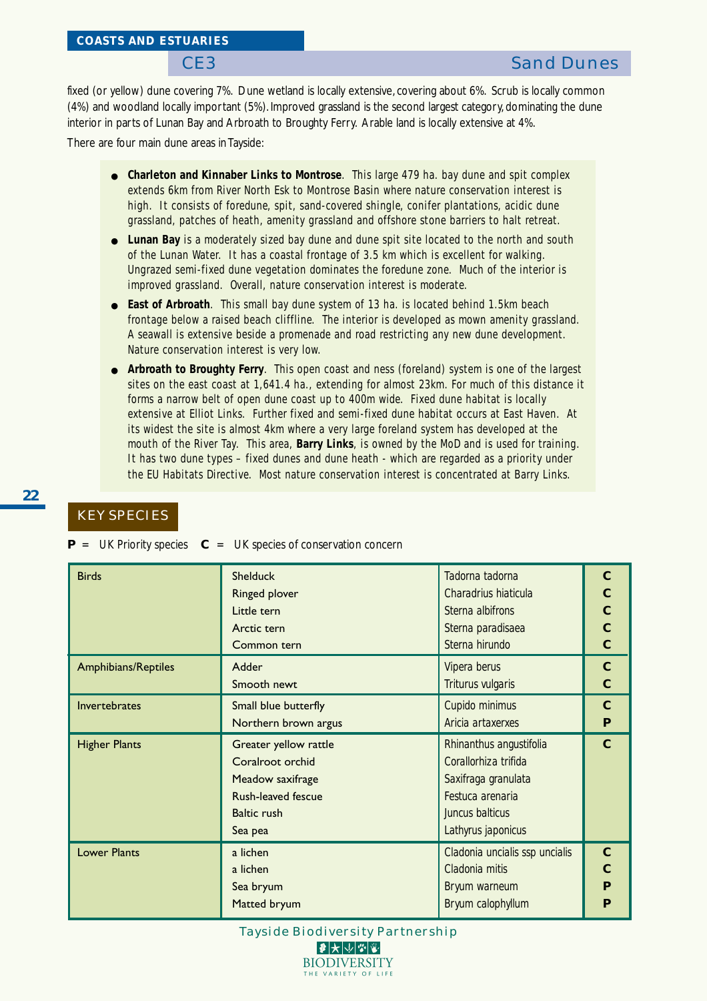fixed (or yellow) dune covering 7%. Dune wetland is locally extensive, covering about 6%. Scrub is locally common (4%) and woodland locally important (5%). Improved grassland is the second largest category, dominating the dune interior in parts of Lunan Bay and Arbroath to Broughty Ferry. Arable land is locally extensive at 4%.

There are four main dune areas in Tayside:

- **Charleton and Kinnaber Links to Montrose**. This large 479 ha. bay dune and spit complex extends 6km from River North Esk to Montrose Basin where nature conservation interest is high. It consists of foredune, spit, sand-covered shingle, conifer plantations, acidic dune grassland, patches of heath, amenity grassland and offshore stone barriers to halt retreat.
- **Lunan Bay** is a moderately sized bay dune and dune spit site located to the north and south of the Lunan Water. It has a coastal frontage of 3.5 km which is excellent for walking. Ungrazed semi-fixed dune vegetation dominates the foredune zone. Much of the interior is improved grassland. Overall, nature conservation interest is moderate.
- **East of Arbroath**. This small bay dune system of 13 ha. is located behind 1.5km beach frontage below a raised beach cliffline. The interior is developed as mown amenity grassland. A seawall is extensive beside a promenade and road restricting any new dune development. Nature conservation interest is very low.
- **Arbroath to Broughty Ferry**. This open coast and ness (foreland) system is one of the largest sites on the east coast at 1,641.4 ha., extending for almost 23km. For much of this distance it forms a narrow belt of open dune coast up to 400m wide. Fixed dune habitat is locally extensive at Elliot Links. Further fixed and semi-fixed dune habitat occurs at East Haven. At its widest the site is almost 4km where a very large foreland system has developed at the mouth of the River Tay. This area, **Barry Links**, is owned by the MoD and is used for training. It has two dune types – fixed dunes and dune heath - which are regarded as a priority under the EU Habitats Directive. Most nature conservation interest is concentrated at Barry Links.

#### KEY SPECIES

**P** = UK Priority species **C** = UK species of conservation concern

| <b>Birds</b>               | <b>Shelduck</b>                            | Tadorna tadorna         | $\mathbf C$    |  |  |  |  |  |  |
|----------------------------|--------------------------------------------|-------------------------|----------------|--|--|--|--|--|--|
|                            | Ringed plover                              | Charadrius hiaticula    | $\mathbf C$    |  |  |  |  |  |  |
|                            | Little tern                                | Sterna albifrons        |                |  |  |  |  |  |  |
|                            | Arctic tern                                | Sterna paradisaea       |                |  |  |  |  |  |  |
|                            | Common tern                                | Sterna hirundo          | $\overline{C}$ |  |  |  |  |  |  |
| <b>Amphibians/Reptiles</b> | Adder                                      | Vipera berus            | $\mathbf{C}$   |  |  |  |  |  |  |
|                            | Triturus vulgaris<br>Smooth newt           |                         |                |  |  |  |  |  |  |
| Invertebrates              | Small blue butterfly                       | Cupido minimus          | $\mathbf C$    |  |  |  |  |  |  |
|                            | Aricia artaxerxes<br>Northern brown argus  |                         |                |  |  |  |  |  |  |
| <b>Higher Plants</b>       | Greater yellow rattle                      | Rhinanthus angustifolia | $\mathbf{C}$   |  |  |  |  |  |  |
|                            | Coralroot orchid                           | Corallorhiza trifida    |                |  |  |  |  |  |  |
|                            | Saxifraga granulata<br>Meadow saxifrage    |                         |                |  |  |  |  |  |  |
|                            | Rush-leaved fescue<br>Festuca arenaria     |                         |                |  |  |  |  |  |  |
|                            | Juncus balticus<br><b>Baltic rush</b>      |                         |                |  |  |  |  |  |  |
|                            | Sea pea                                    | Lathyrus japonicus      |                |  |  |  |  |  |  |
| <b>Lower Plants</b>        | a lichen<br>Cladonia uncialis ssp uncialis |                         |                |  |  |  |  |  |  |
|                            | a lichen                                   | Cladonia mitis          | $\mathbf C$    |  |  |  |  |  |  |
|                            | Sea bryum                                  | Bryum warneum           |                |  |  |  |  |  |  |
|                            | Matted bryum                               | Bryum calophyllum       | P              |  |  |  |  |  |  |

Tayside Biodiversity Partnership ●★↓☆☆

> **BIODIVERSITY** THE VARIETY OF LIFE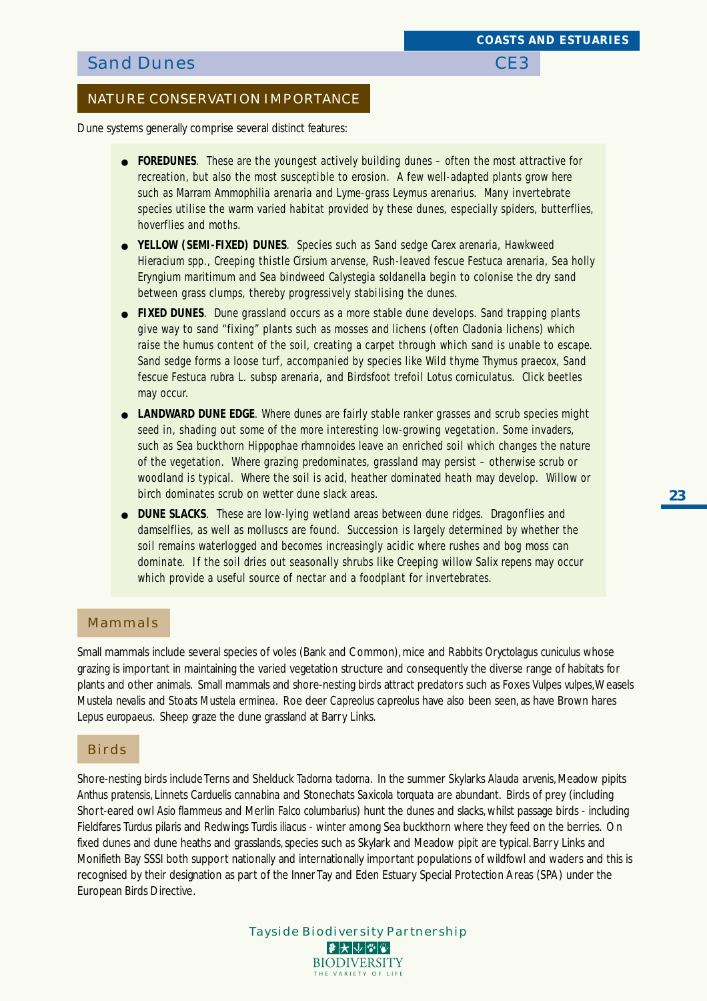#### NATURE CONSERVATION IMPORTANCE

Dune systems generally comprise several distinct features:

- **FOREDUNES**. These are the youngest actively building dunes often the most attractive for recreation, but also the most susceptible to erosion. A few well-adapted plants grow here such as Marram *Ammophilia arenaria* and Lyme-grass *Leymus arenarius*. Many invertebrate species utilise the warm varied habitat provided by these dunes, especially spiders, butterflies, hoverflies and moths.
- **YELLOW (SEMI-FIXED) DUNES**. Species such as Sand sedge *Carex arenaria*, Hawkweed *Hieracium spp*., Creeping thistle *Cirsium arvense*, Rush-leaved fescue *Festuca arenaria*, Sea holly *Eryngium maritimum* and Sea bindweed *Calystegia soldanella* begin to colonise the dry sand between grass clumps, thereby progressively stabilising the dunes.
- **FIXED DUNES**. Dune grassland occurs as a more stable dune develops. Sand trapping plants give way to sand "fixing" plants such as mosses and lichens (often *Cladonia* lichens) which raise the humus content of the soil, creating a carpet through which sand is unable to escape. Sand sedge forms a loose turf, accompanied by species like Wild thyme *Thymus praecox*, Sand fescue *Festuca rubra* L. subsp *arenaria*, and Birdsfoot trefoil *Lotus corniculatus*. Click beetles may occur.
- **LANDWARD DUNE EDGE**. Where dunes are fairly stable ranker grasses and scrub species might seed in, shading out some of the more interesting low-growing vegetation. Some invaders, such as Sea buckthorn *Hippophae rhamnoides* leave an enriched soil which changes the nature of the vegetation. Where grazing predominates, grassland may persist – otherwise scrub or woodland is typical. Where the soil is acid, heather dominated heath may develop. Willow or birch dominates scrub on wetter dune slack areas.
- **DUNE SLACKS**. These are low-lying wetland areas between dune ridges. Dragonflies and damselflies, as well as molluscs are found. Succession is largely determined by whether the soil remains waterlogged and becomes increasingly acidic where rushes and bog moss can dominate. If the soil dries out seasonally shrubs like Creeping willow *Salix repens* may occur which provide a useful source of nectar and a foodplant for invertebrates.

#### Mammals

Small mammals include several species of voles (Bank and Common), mice and Rabbits *Oryctolagus cuniculus* whose grazing is important in maintaining the varied vegetation structure and consequently the diverse range of habitats for plants and other animals. Small mammals and shore-nesting birds attract predators such as Foxes *Vulpes vulpes*, Weasels *Mustela nevalis* and Stoats *Mustela erminea*. Roe deer *Capreolus capreolus* have also been seen, as have Brown hares *Lepus europaeus*. Sheep graze the dune grassland at Barry Links.

#### Birds

Shore-nesting birds include Terns and Shelduck *Tadorna tadorna*. In the summer Skylarks *Alauda arvenis*, Meadow pipits *Anthus pratensis*, Linnets *Carduelis cannabina* and Stonechats *Saxicola torquata* are abundant. Birds of prey (including Short-eared owl *Asio flammeus* and Merlin *Falco columbarius*) hunt the dunes and slacks, whilst passage birds - including Fieldfares *Turdus pilaris* and Redwings *Turdis iliacus* - winter among Sea buckthorn where they feed on the berries. On fixed dunes and dune heaths and grasslands, species such as Skylark and Meadow pipit are typical. Barry Links and Monifieth Bay SSSI both support nationally and internationally important populations of wildfowl and waders and this is recognised by their designation as part of the Inner Tay and Eden Estuary Special Protection Areas (SPA) under the European Birds Directive.

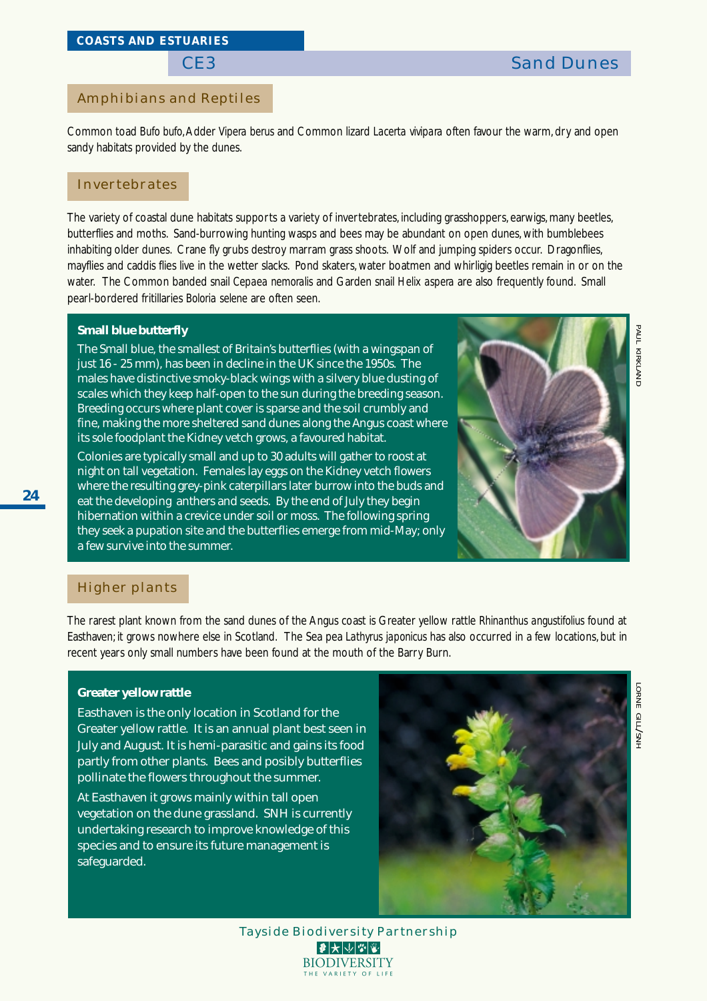#### Amphibians and Reptiles

Common toad *Bufo bufo*, Adder *Vipera berus* and Common lizard *Lacerta vivipara* often favour the warm, dry and open sandy habitats provided by the dunes.

#### Invertebrates

The variety of coastal dune habitats supports a variety of invertebrates, including grasshoppers, earwigs, many beetles, butterflies and moths. Sand-burrowing hunting wasps and bees may be abundant on open dunes, with bumblebees inhabiting older dunes. Crane fly grubs destroy marram grass shoots. Wolf and jumping spiders occur. Dragonflies, mayflies and caddis flies live in the wetter slacks. Pond skaters, water boatmen and whirligig beetles remain in or on the water. The Common banded snail *Cepaea nemoralis* and Garden snail *Helix aspera* are also frequently found. Small pearl-bordered fritillaries *Boloria selene* are often seen.

#### **Small blue butterfly**

The Small blue, the smallest of Britain's butterflies (with a wingspan of just 16 - 25 mm), has been in decline in the UK since the 1950s. The males have distinctive smoky-black wings with a silvery blue dusting of scales which they keep half-open to the sun during the breeding season. Breeding occurs where plant cover is sparse and the soil crumbly and fine, making the more sheltered sand dunes along the Angus coast where its sole foodplant the Kidney vetch grows, a favoured habitat.

Colonies are typically small and up to 30 adults will gather to roost at night on tall vegetation. Females lay eggs on the Kidney vetch flowers where the resulting grey-pink caterpillars later burrow into the buds and eat the developing anthers and seeds. By the end of July they begin hibernation within a crevice under soil or moss. The following spring they seek a pupation site and the butterflies emerge from mid-May; only a few survive into the summer.



#### Higher plants

The rarest plant known from the sand dunes of the Angus coast is Greater yellow rattle *Rhinanthus angustifolius* found at Easthaven; it grows nowhere else in Scotland. The Sea pea *Lathyrus japonicus* has also occurred in a few locations, but in recent years only small numbers have been found at the mouth of the Barry Burn.

#### **Greater yellow rattle**

Easthaven is the only location in Scotland for the Greater yellow rattle. It is an annual plant best seen in July and August. It is hemi-parasitic and gains its food partly from other plants. Bees and posibly butterflies pollinate the flowers throughout the summer.

At Easthaven it grows mainly within tall open vegetation on the dune grassland. SNH is currently undertaking research to improve knowledge of this species and to ensure its future management is safeguarded.



Tayside Biodiversity Partnership **BIODIVERSITY** THE VARIETY OF LIF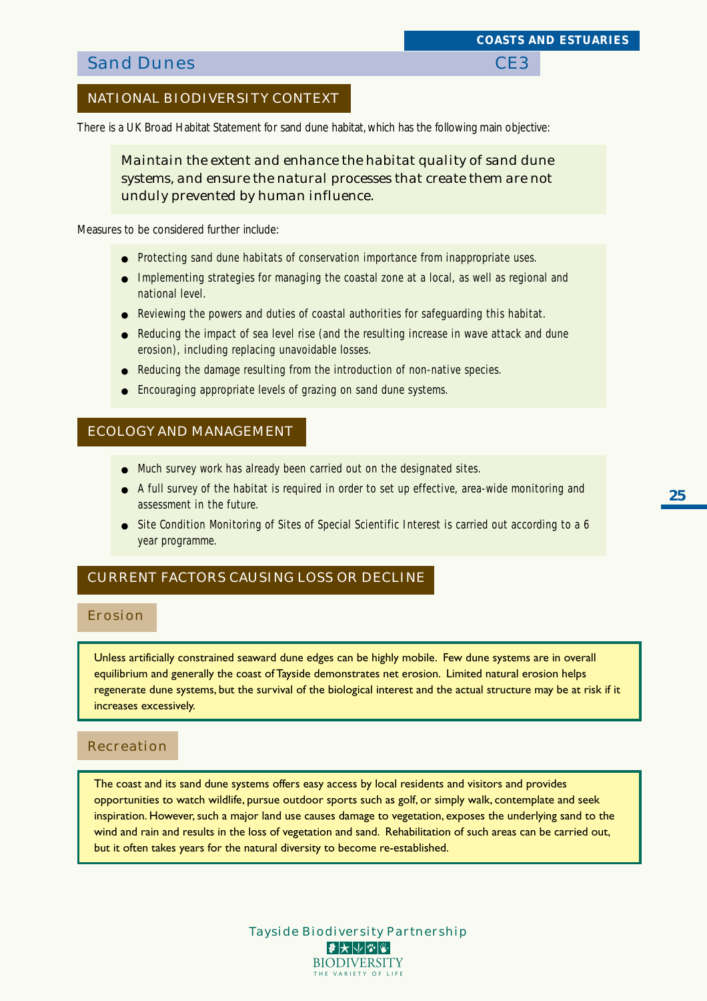## **Sand Dunes** CE3

### NATIONAL BIODIVERSITY CONTEXT

There is a UK Broad Habitat Statement for sand dune habitat, which has the following main objective:

*Maintain the extent and enhance the habitat quality of sand dune systems, and ensure the natural processes that create them are not unduly prevented by human influence.*

Measures to be considered further include:

- Protecting sand dune habitats of conservation importance from inappropriate uses.
- Implementing strategies for managing the coastal zone at a local, as well as regional and national level.
- Reviewing the powers and duties of coastal authorities for safeguarding this habitat.
- Reducing the impact of sea level rise (and the resulting increase in wave attack and dune erosion), including replacing unavoidable losses.
- Reducing the damage resulting from the introduction of non-native species.
- Encouraging appropriate levels of grazing on sand dune systems.

#### ECOLOGY AND MANAGEMENT

- Much survey work has already been carried out on the designated sites.
- A full survey of the habitat is required in order to set up effective, area-wide monitoring and assessment in the future.
- Site Condition Monitoring of Sites of Special Scientific Interest is carried out according to a 6 year programme.

#### CURRENT FACTORS CAUSING LOSS OR DECLINE

#### Erosion

Unless artificially constrained seaward dune edges can be highly mobile. Few dune systems are in overall equilibrium and generally the coast of Tayside demonstrates net erosion. Limited natural erosion helps regenerate dune systems, but the survival of the biological interest and the actual structure may be at risk if it increases excessively.

#### Recreation

The coast and its sand dune systems offers easy access by local residents and visitors and provides opportunities to watch wildlife, pursue outdoor sports such as golf, or simply walk, contemplate and seek inspiration. However, such a major land use causes damage to vegetation, exposes the underlying sand to the wind and rain and results in the loss of vegetation and sand. Rehabilitation of such areas can be carried out, but it often takes years for the natural diversity to become re-established.

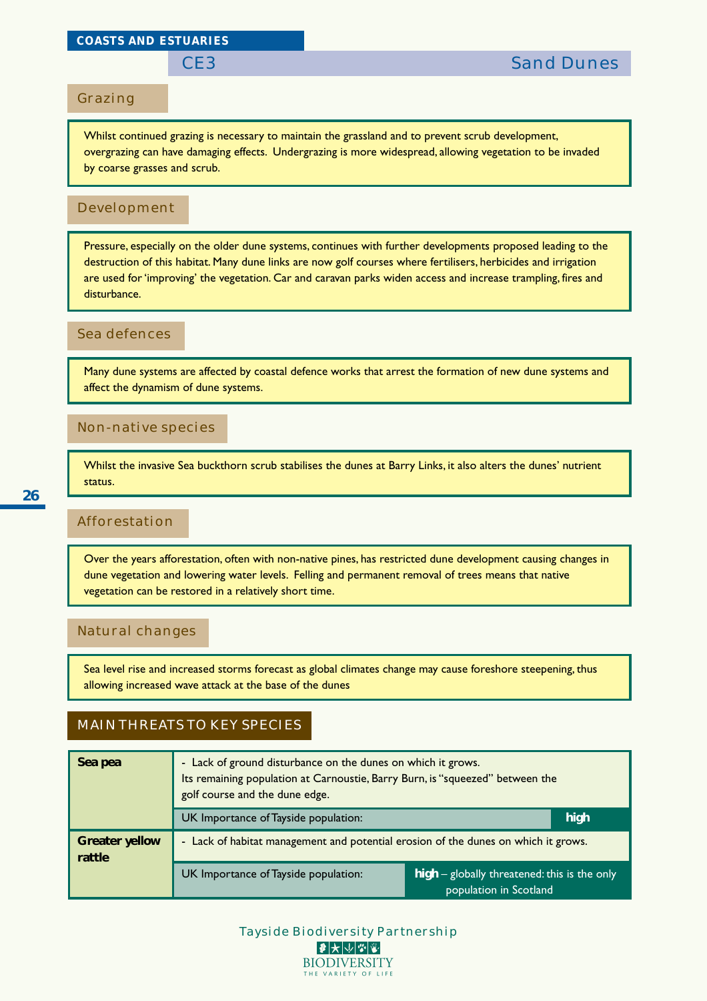#### *COASTS AND ESTUARIES*

#### Grazing

Whilst continued grazing is necessary to maintain the grassland and to prevent scrub development, overgrazing can have damaging effects. Undergrazing is more widespread, allowing vegetation to be invaded by coarse grasses and scrub.

#### Development

Pressure, especially on the older dune systems, continues with further developments proposed leading to the destruction of this habitat. Many dune links are now golf courses where fertilisers, herbicides and irrigation are used for 'improving' the vegetation. Car and caravan parks widen access and increase trampling, fires and disturbance.

#### Sea defences

Many dune systems are affected by coastal defence works that arrest the formation of new dune systems and affect the dynamism of dune systems.

#### Non-native species

Whilst the invasive Sea buckthorn scrub stabilises the dunes at Barry Links, it also alters the dunes' nutrient status.

### Afforestation

Over the years afforestation, often with non-native pines, has restricted dune development causing changes in dune vegetation and lowering water levels. Felling and permanent removal of trees means that native vegetation can be restored in a relatively short time.

#### Natural changes

Sea level rise and increased storms forecast as global climates change may cause foreshore steepening, thus allowing increased wave attack at the base of the dunes

### MAIN THREATS TO KEY SPECIES

| Sea pea                         | - Lack of ground disturbance on the dunes on which it grows.<br>Its remaining population at Carnoustie, Barry Burn, is "squeezed" between the<br>golf course and the dune edge. |                                                                          |  |  |  |  |  |  |  |
|---------------------------------|---------------------------------------------------------------------------------------------------------------------------------------------------------------------------------|--------------------------------------------------------------------------|--|--|--|--|--|--|--|
|                                 | UK Importance of Tayside population:                                                                                                                                            | high                                                                     |  |  |  |  |  |  |  |
| <b>Greater yellow</b><br>rattle | - Lack of habitat management and potential erosion of the dunes on which it grows.                                                                                              |                                                                          |  |  |  |  |  |  |  |
|                                 | UK Importance of Tayside population:                                                                                                                                            | $high$ – globally threatened: this is the only<br>population in Scotland |  |  |  |  |  |  |  |

Tayside Biodiversity Partnership **BIODIVERSITY** THE VARIETY OF LIFE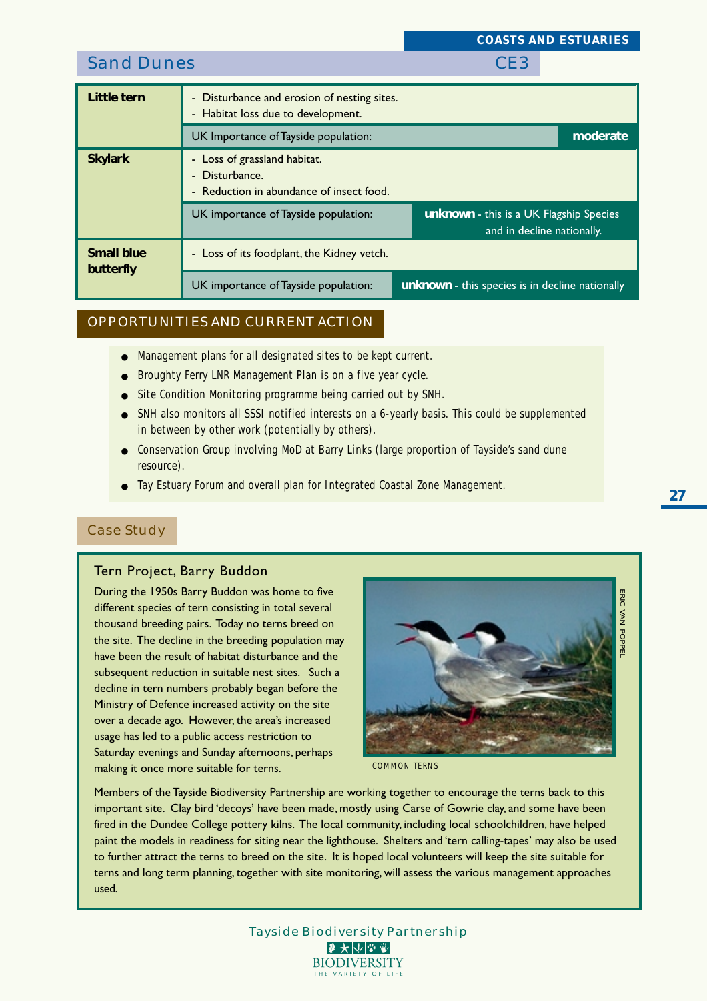|                                |                                                                                                                                       | CONDIDIND LOI CHULD                                                   |
|--------------------------------|---------------------------------------------------------------------------------------------------------------------------------------|-----------------------------------------------------------------------|
| <b>Sand Dunes</b>              |                                                                                                                                       | CE <sub>3</sub>                                                       |
| Little tern                    | Disturbance and erosion of nesting sites.<br>$\overline{\phantom{0}}$<br>Habitat loss due to development.<br>$\overline{\phantom{0}}$ |                                                                       |
|                                | UK Importance of Tayside population:                                                                                                  | moderate                                                              |
| <b>Skylark</b>                 | - Loss of grassland habitat.<br>Disturbance.<br>$\blacksquare$<br>Reduction in abundance of insect food.<br>$\overline{\phantom{0}}$  |                                                                       |
|                                | UK importance of Tayside population:                                                                                                  | unknown - this is a UK Flagship Species<br>and in decline nationally. |
| <b>Small blue</b><br>butterfly | - Loss of its foodplant, the Kidney vetch.                                                                                            |                                                                       |
|                                | UK importance of Tayside population:                                                                                                  | unknown - this species is in decline nationally                       |

#### OPPORTUNITIES AND CURRENT ACTION

- Management plans for all designated sites to be kept current.
- Broughty Ferry LNR Management Plan is on a five year cycle.
- Site Condition Monitoring programme being carried out by SNH.
- SNH also monitors all SSSI notified interests on a 6-yearly basis. This could be supplemented in between by other work (potentially by others).
- Conservation Group involving MoD at Barry Links (large proportion of Tayside's sand dune resource).
- Tay Estuary Forum and overall plan for Integrated Coastal Zone Management.

#### Case Study

#### Tern Project, Barry Buddon

During the 1950s Barry Buddon was home to five different species of tern consisting in total several thousand breeding pairs. Today no terns breed on the site. The decline in the breeding population may have been the result of habitat disturbance and the subsequent reduction in suitable nest sites. Such a decline in tern numbers probably began before the Ministry of Defence increased activity on the site over a decade ago. However, the area's increased usage has led to a public access restriction to Saturday evenings and Sunday afternoons, perhaps making it once more suitable for terns.



*COASTS AND ESTUARIES*

*COMMON TERNS*

Members of the Tayside Biodiversity Partnership are working together to encourage the terns back to this important site. Clay bird 'decoys' have been made, mostly using Carse of Gowrie clay, and some have been fired in the Dundee College pottery kilns. The local community, including local schoolchildren, have helped paint the models in readiness for siting near the lighthouse. Shelters and 'tern calling-tapes' may also be used to further attract the terns to breed on the site. It is hoped local volunteers will keep the site suitable for terns and long term planning, together with site monitoring, will assess the various management approaches used.

> Tayside Biodiversity Partnership  $|\mathcal{F}|\bigstar|\psi|\mathcal{G}|\mathcal{G}|$ **BIODIVERSITY** THE VARIETY OF LI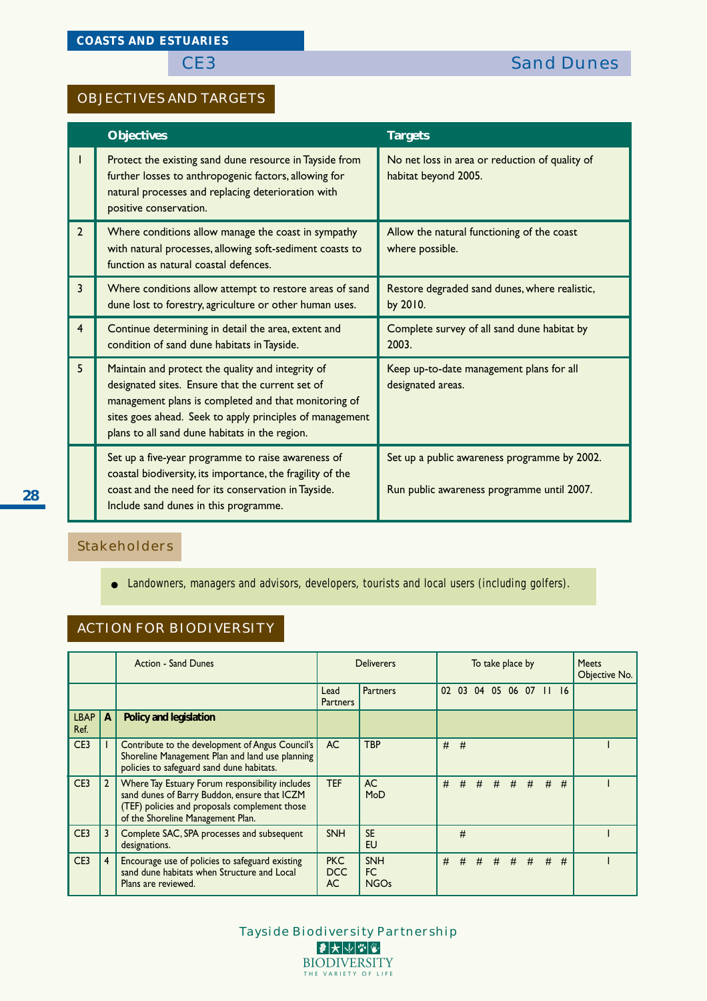### OBJECTIVES AND TARGETS

|                | <b>Objectives</b>                                                                                                                                                                                                                                                           | <b>Targets</b>                                                                             |
|----------------|-----------------------------------------------------------------------------------------------------------------------------------------------------------------------------------------------------------------------------------------------------------------------------|--------------------------------------------------------------------------------------------|
| L              | Protect the existing sand dune resource in Tayside from<br>further losses to anthropogenic factors, allowing for<br>natural processes and replacing deterioration with<br>positive conservation.                                                                            | No net loss in area or reduction of quality of<br>habitat beyond 2005.                     |
| $\overline{2}$ | Where conditions allow manage the coast in sympathy<br>with natural processes, allowing soft-sediment coasts to<br>function as natural coastal defences.                                                                                                                    | Allow the natural functioning of the coast<br>where possible.                              |
| $\overline{3}$ | Where conditions allow attempt to restore areas of sand<br>dune lost to forestry, agriculture or other human uses.                                                                                                                                                          | Restore degraded sand dunes, where realistic,<br>by 2010.                                  |
| $\overline{4}$ | Continue determining in detail the area, extent and<br>condition of sand dune habitats in Tayside.                                                                                                                                                                          | Complete survey of all sand dune habitat by<br>2003.                                       |
| 5              | Maintain and protect the quality and integrity of<br>designated sites. Ensure that the current set of<br>management plans is completed and that monitoring of<br>sites goes ahead. Seek to apply principles of management<br>plans to all sand dune habitats in the region. | Keep up-to-date management plans for all<br>designated areas.                              |
|                | Set up a five-year programme to raise awareness of<br>coastal biodiversity, its importance, the fragility of the<br>coast and the need for its conservation in Tayside.<br>Include sand dunes in this programme.                                                            | Set up a public awareness programme by 2002.<br>Run public awareness programme until 2007. |

## Stakeholders

● Landowners, managers and advisors, developers, tourists and local users (including golfers).

## ACTION FOR BIODIVERSITY

|                     |                | <b>Action - Sand Dunes</b>                                                                                                                                                            |                                | <b>Deliverers</b>                      |    | To take place by |   |   |  | <b>Meets</b><br>Objective No. |   |   |  |
|---------------------|----------------|---------------------------------------------------------------------------------------------------------------------------------------------------------------------------------------|--------------------------------|----------------------------------------|----|------------------|---|---|--|-------------------------------|---|---|--|
|                     |                |                                                                                                                                                                                       | Lead<br><b>Partners</b>        | <b>Partners</b>                        | 02 | 03               |   |   |  | 04 05 06 07 11 16             |   |   |  |
| <b>LBAP</b><br>Ref. | A              | Policy and legislation                                                                                                                                                                |                                |                                        |    |                  |   |   |  |                               |   |   |  |
| CE3                 |                | Contribute to the development of Angus Council's<br>Shoreline Management Plan and land use planning<br>policies to safeguard sand dune habitats.                                      | AC.                            | <b>TBP</b>                             | #  | #                |   |   |  |                               |   |   |  |
| CE3                 | $\mathbf{2}$   | Where Tay Estuary Forum responsibility includes<br>sand dunes of Barry Buddon, ensure that ICZM<br>(TEF) policies and proposals complement those<br>of the Shoreline Management Plan. | <b>TEF</b>                     | <b>AC</b><br>MoD                       | #  |                  |   |   |  | # # # # # #                   |   | # |  |
| CE3                 |                | Complete SAC, SPA processes and subsequent<br>designations.                                                                                                                           | <b>SNH</b>                     | <b>SE</b><br>EU                        |    | #                |   |   |  |                               |   |   |  |
| CE3                 | $\overline{4}$ | Encourage use of policies to safeguard existing<br>sand dune habitats when Structure and Local<br>Plans are reviewed.                                                                 | <b>PKC</b><br>DCC<br><b>AC</b> | <b>SNH</b><br><b>FC</b><br><b>NGOs</b> | #  | #                | # | # |  | $#$ #                         | # | # |  |

Tayside Biodiversity Partnership  $\bullet\star\smash\downarrow\smash\downarrow\smash\Downarrow\vphantom\downarrow\smash\downarrow\enspace\enspace\downarrow\enspace\enspace\downarrow\enspace\enspace\enspace\downarrow\enspace\enspace\enspace\downarrow\enspace\enspace\downarrow\enspace\enspace\downarrow\enspace\enspace\blpace\enspace\downarrow\enspace\enspace\downarrow\enspace\enspace\blpace\enspace\downarrow\enspace\enspace\downarrow\enspace\enspace\downarrow\enspace\downarrow\enspace\enspace\downarrow\enspace\enspace\blpace\blpace\blpace\downarrow\enspace\enspace\downarrow\enspace\blpace\blpace\blpace\downarrow\enspace\downarrow\enspace\down$ **BIODIVERSITY** THE VARIETY OF LIFE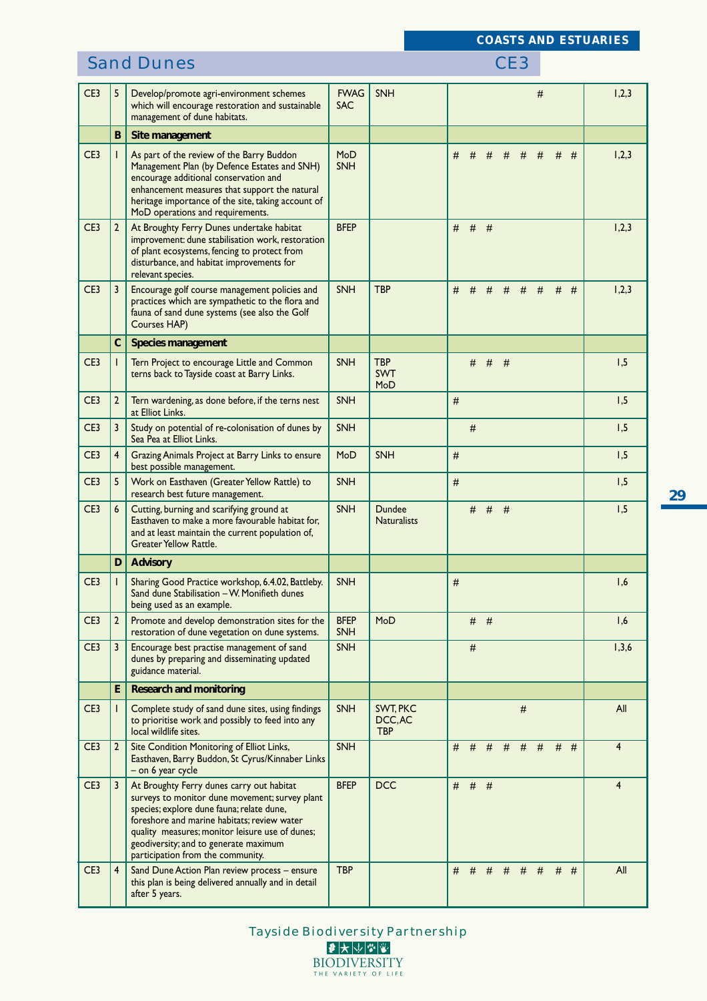## **Sand Dunes** CE3

| CE3             | 5              | Develop/promote agri-environment schemes<br>which will encourage restoration and sustainable<br>management of dune habitats.                                                                                                                                                                                             | <b>FWAG</b><br><b>SAC</b> | <b>SNH</b>                        |         |       |     |   |       | # |       |   | 1,2,3          |
|-----------------|----------------|--------------------------------------------------------------------------------------------------------------------------------------------------------------------------------------------------------------------------------------------------------------------------------------------------------------------------|---------------------------|-----------------------------------|---------|-------|-----|---|-------|---|-------|---|----------------|
|                 | B              | Site management                                                                                                                                                                                                                                                                                                          |                           |                                   |         |       |     |   |       |   |       |   |                |
| CE3             |                | As part of the review of the Barry Buddon<br>Management Plan (by Defence Estates and SNH)<br>encourage additional conservation and<br>enhancement measures that support the natural<br>heritage importance of the site, taking account of<br>MoD operations and requirements.                                            | MoD<br><b>SNH</b>         |                                   | #       | #     | #   | # | #     | # | #     | # | 1,2,3          |
| CE <sub>3</sub> | 2              | At Broughty Ferry Dunes undertake habitat<br>improvement: dune stabilisation work, restoration<br>of plant ecosystems, fencing to protect from<br>disturbance, and habitat improvements for<br>relevant species.                                                                                                         | <b>BFEP</b>               |                                   | $#$ #   |       | #   |   |       |   |       |   | 1,2,3          |
| CE3             |                | Encourage golf course management policies and<br>practices which are sympathetic to the flora and<br>fauna of sand dune systems (see also the Golf<br>Courses HAP)                                                                                                                                                       | <b>SNH</b>                | <b>TBP</b>                        | #       | #     | #   | # | #     | # | #     | # | 1,2,3          |
|                 | $\mathbf C$    | <b>Species management</b>                                                                                                                                                                                                                                                                                                |                           |                                   |         |       |     |   |       |   |       |   |                |
| CE <sub>3</sub> |                | Tern Project to encourage Little and Common<br>terns back to Tayside coast at Barry Links.                                                                                                                                                                                                                               | <b>SNH</b>                | <b>TBP</b><br><b>SWT</b><br>MoD   |         | $#$ # |     | # |       |   |       |   | 1,5            |
| CE3             | $\overline{2}$ | Tern wardening, as done before, if the terns nest<br>at Elliot Links.                                                                                                                                                                                                                                                    | <b>SNH</b>                |                                   | #       |       |     |   |       |   |       |   | 1,5            |
| CE <sub>3</sub> | 3              | Study on potential of re-colonisation of dunes by<br>Sea Pea at Elliot Links.                                                                                                                                                                                                                                            | <b>SNH</b>                |                                   |         | #     |     |   |       |   |       |   | 1,5            |
| CE <sub>3</sub> | 4              | Grazing Animals Project at Barry Links to ensure<br>best possible management.                                                                                                                                                                                                                                            | MoD                       | <b>SNH</b>                        | #       |       |     |   |       |   |       |   | 1,5            |
| CE <sub>3</sub> | 5              | Work on Easthaven (Greater Yellow Rattle) to<br>research best future management.                                                                                                                                                                                                                                         | <b>SNH</b>                |                                   | #       |       |     |   |       |   |       |   | 1,5            |
| CE <sub>3</sub> | 6              | Cutting, burning and scarifying ground at<br>Easthaven to make a more favourable habitat for,<br>and at least maintain the current population of,<br><b>Greater Yellow Rattle.</b>                                                                                                                                       | <b>SNH</b>                | Dundee<br><b>Naturalists</b>      |         | #     | #   | # |       |   |       |   | 1,5            |
|                 | D              | <b>Advisory</b>                                                                                                                                                                                                                                                                                                          |                           |                                   |         |       |     |   |       |   |       |   |                |
| CE <sub>3</sub> |                | Sharing Good Practice workshop, 6.4.02, Battleby.<br>Sand dune Stabilisation – W. Monifieth dunes<br>being used as an example.                                                                                                                                                                                           | <b>SNH</b>                |                                   | #       |       |     |   |       |   |       |   | 1,6            |
| CE <sub>3</sub> | 2              | Promote and develop demonstration sites for the<br>restoration of dune vegetation on dune systems.                                                                                                                                                                                                                       | <b>BFEP</b><br><b>SNH</b> | MoD                               |         | #     | - # |   |       |   |       |   | 1,6            |
| CE <sub>3</sub> | 3              | Encourage best practise management of sand<br>dunes by preparing and disseminating updated<br>guidance material.                                                                                                                                                                                                         | <b>SNH</b>                |                                   |         | #     |     |   |       |   |       |   | 1,3,6          |
|                 | E.             | <b>Research and monitoring</b>                                                                                                                                                                                                                                                                                           |                           |                                   |         |       |     |   |       |   |       |   |                |
| CE3             |                | Complete study of sand dune sites, using findings<br>to prioritise work and possibly to feed into any<br>local wildlife sites.                                                                                                                                                                                           | <b>SNH</b>                | SWT. PKC<br>DCC, AC<br><b>TBP</b> |         |       |     |   | $\#$  |   |       |   | All            |
| CE <sub>3</sub> | 2              | Site Condition Monitoring of Elliot Links,<br>Easthaven, Barry Buddon, St Cyrus/Kinnaber Links<br>– on 6 year cycle                                                                                                                                                                                                      | <b>SNH</b>                |                                   | # # #   |       |     | # | $#$ # |   | $#$ # |   | $\overline{4}$ |
| CE <sub>3</sub> | 3              | At Broughty Ferry dunes carry out habitat<br>surveys to monitor dune movement; survey plant<br>species; explore dune fauna; relate dune,<br>foreshore and marine habitats; review water<br>quality measures; monitor leisure use of dunes;<br>geodiversity; and to generate maximum<br>participation from the community. | <b>BFEP</b>               | <b>DCC</b>                        | # # #   |       |     |   |       |   |       |   | $\overline{4}$ |
| CE3             | $\overline{4}$ | Sand Dune Action Plan review process - ensure<br>this plan is being delivered annually and in detail<br>after 5 years.                                                                                                                                                                                                   | <b>TBP</b>                |                                   | $#$ $#$ |       | #   |   | # # # |   | $#$ # |   | All            |